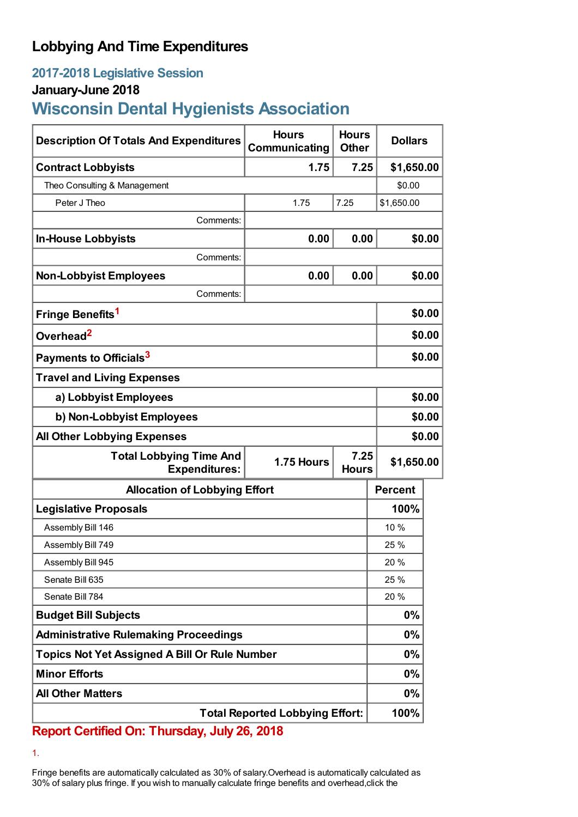# **Lobbying And Time Expenditures**

## **2017-2018 Legislative Session**

### **January-June 2018**

# **Wisconsin Dental Hygienists Association**

| <b>Description Of Totals And Expenditures</b>          | <b>Hours</b><br>Communicating | <b>Hours</b><br><b>Other</b> | <b>Dollars</b> |        |  |
|--------------------------------------------------------|-------------------------------|------------------------------|----------------|--------|--|
| <b>Contract Lobbyists</b>                              | 1.75                          | 7.25                         | \$1,650.00     |        |  |
| Theo Consulting & Management                           |                               |                              | \$0.00         |        |  |
| Peter J Theo                                           | 1.75                          | 7.25                         | \$1,650.00     |        |  |
| Comments:                                              |                               |                              |                |        |  |
| <b>In-House Lobbyists</b>                              | 0.00                          | 0.00                         |                | \$0.00 |  |
| Comments:                                              |                               |                              |                |        |  |
| <b>Non-Lobbyist Employees</b>                          | 0.00                          | 0.00                         |                | \$0.00 |  |
| Comments:                                              |                               |                              |                |        |  |
| Fringe Benefits <sup>1</sup>                           |                               |                              |                | \$0.00 |  |
| Overhead <sup>2</sup>                                  |                               |                              |                | \$0.00 |  |
| Payments to Officials <sup>3</sup>                     |                               |                              |                | \$0.00 |  |
| <b>Travel and Living Expenses</b>                      |                               |                              |                |        |  |
| a) Lobbyist Employees                                  |                               |                              |                | \$0.00 |  |
| b) Non-Lobbyist Employees                              |                               |                              |                | \$0.00 |  |
| <b>All Other Lobbying Expenses</b>                     |                               |                              |                | \$0.00 |  |
| <b>Total Lobbying Time And</b><br><b>Expenditures:</b> | 1.75 Hours                    | 7.25<br><b>Hours</b>         | \$1,650.00     |        |  |
| <b>Allocation of Lobbying Effort</b>                   |                               |                              | <b>Percent</b> |        |  |
| <b>Legislative Proposals</b>                           |                               |                              | 100%           |        |  |
| Assembly Bill 146                                      |                               |                              | 10 %           |        |  |
| Assembly Bill 749                                      |                               |                              | 25 %           |        |  |
| Assembly Bill 945                                      |                               |                              | 20%            |        |  |
| Senate Bill 635                                        |                               |                              | 25 %           |        |  |
| Senate Bill 784                                        |                               |                              | 20 %           |        |  |
| <b>Budget Bill Subjects</b>                            |                               |                              | $0\%$          |        |  |
| <b>Administrative Rulemaking Proceedings</b>           |                               |                              | $0\%$          |        |  |
| <b>Topics Not Yet Assigned A Bill Or Rule Number</b>   |                               |                              | $0\%$          |        |  |
| <b>Minor Efforts</b>                                   |                               |                              | $0\%$          |        |  |
| <b>All Other Matters</b>                               |                               |                              | $0\%$          |        |  |
| <b>Total Reported Lobbying Effort:</b>                 |                               |                              | 100%           |        |  |

**Report Certified On: Thursday, July 26, 2018**

1.

Fringe benefits are automatically calculated as 30% of salary.Overhead is automatically calculated as 30% of salary plus fringe. If you wish to manually calculate fringe benefits and overhead,click the